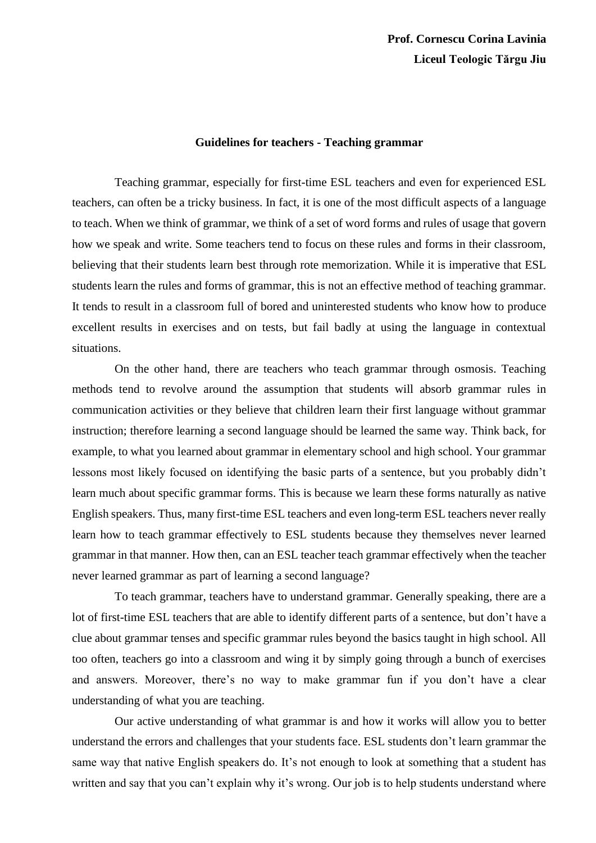## **Guidelines for teachers - Teaching grammar**

Teaching grammar, especially for first-time ESL teachers and even for experienced ESL teachers, can often be a tricky business. In fact, it is one of the most difficult aspects of a language to teach. When we think of grammar, we think of a set of word forms and rules of usage that govern how we speak and write. Some teachers tend to focus on these rules and forms in their classroom, believing that their students learn best through rote memorization. While it is imperative that ESL students learn the rules and forms of grammar, this is not an effective method of teaching grammar. It tends to result in a classroom full of bored and uninterested students who know how to produce excellent results in exercises and on tests, but fail badly at using the language in contextual situations.

On the other hand, there are teachers who teach grammar through osmosis. Teaching methods tend to revolve around the assumption that students will absorb grammar rules in communication activities or they believe that children learn their first language without grammar instruction; therefore learning a second language should be learned the same way. Think back, for example, to what you learned about grammar in elementary school and high school. Your grammar lessons most likely focused on identifying the basic parts of a sentence, but you probably didn't learn much about specific grammar forms. This is because we learn these forms naturally as native English speakers. Thus, many first-time ESL teachers and even long-term ESL teachers never really learn how to teach grammar effectively to ESL students because they themselves never learned grammar in that manner. How then, can an ESL teacher teach grammar effectively when the teacher never learned grammar as part of learning a second language?

To teach grammar, teachers have to understand grammar. Generally speaking, there are a lot of first-time ESL teachers that are able to identify different parts of a sentence, but don't have a clue about grammar tenses and specific grammar rules beyond the basics taught in high school. All too often, teachers go into a classroom and wing it by simply going through a bunch of exercises and answers. Moreover, there's no way to make grammar fun if you don't have a clear understanding of what you are teaching.

Our active understanding of what grammar is and how it works will allow you to better understand the errors and challenges that your students face. ESL students don't learn grammar the same way that native English speakers do. It's not enough to look at something that a student has written and say that you can't explain why it's wrong. Our job is to help students understand where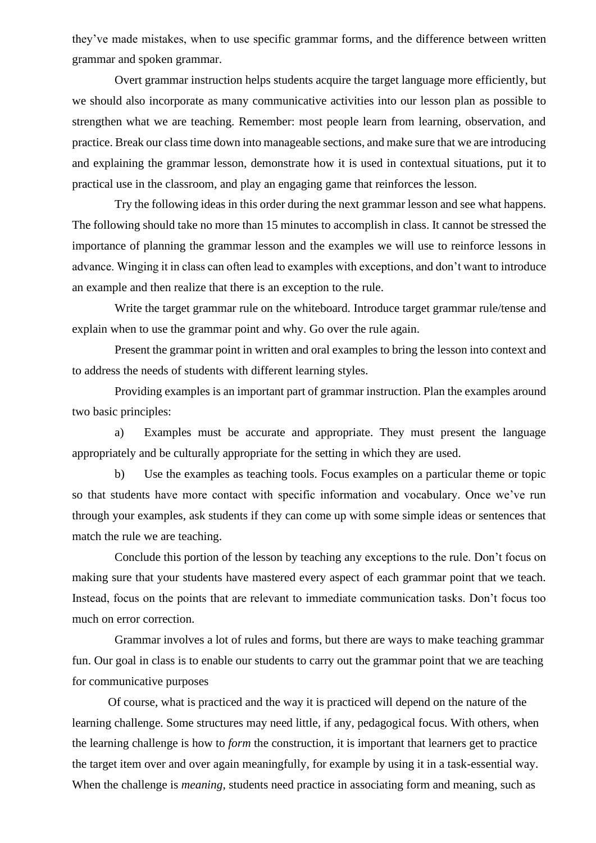they've made mistakes, when to use specific grammar forms, and the difference between written grammar and spoken grammar.

Overt grammar instruction helps students acquire the target language more efficiently, but we should also incorporate as many communicative activities into our lesson plan as possible to strengthen what we are teaching. Remember: most people learn from learning, observation, and practice. Break our class time down into manageable sections, and make sure that we are introducing and explaining the grammar lesson, demonstrate how it is used in contextual situations, put it to practical use in the classroom, and play an engaging game that reinforces the lesson.

Try the following ideas in this order during the next grammar lesson and see what happens. The following should take no more than 15 minutes to accomplish in class. It cannot be stressed the importance of planning the grammar lesson and the examples we will use to reinforce lessons in advance. Winging it in class can often lead to examples with exceptions, and don't want to introduce an example and then realize that there is an exception to the rule.

Write the target grammar rule on the whiteboard. Introduce target grammar rule/tense and explain when to use the grammar point and why. Go over the rule again.

Present the grammar point in written and oral examples to bring the lesson into context and to address the needs of students with different learning styles.

Providing examples is an important part of grammar instruction. Plan the examples around two basic principles:

a) Examples must be accurate and appropriate. They must present the language appropriately and be culturally appropriate for the setting in which they are used.

b) Use the examples as teaching tools. Focus examples on a particular theme or topic so that students have more contact with specific information and vocabulary. Once we've run through your examples, ask students if they can come up with some simple ideas or sentences that match the rule we are teaching.

Conclude this portion of the lesson by teaching any exceptions to the rule. Don't focus on making sure that your students have mastered every aspect of each grammar point that we teach. Instead, focus on the points that are relevant to immediate communication tasks. Don't focus too much on error correction.

Grammar involves a lot of rules and forms, but there are ways to make teaching grammar fun. Our goal in class is to enable our students to carry out the grammar point that we are teaching for communicative purposes

Of course, what is practiced and the way it is practiced will depend on the nature of the learning challenge. Some structures may need little, if any, pedagogical focus. With others, when the learning challenge is how to *form* the construction, it is important that learners get to practice the target item over and over again meaningfully, for example by using it in a task-essential way. When the challenge is *meaning*, students need practice in associating form and meaning, such as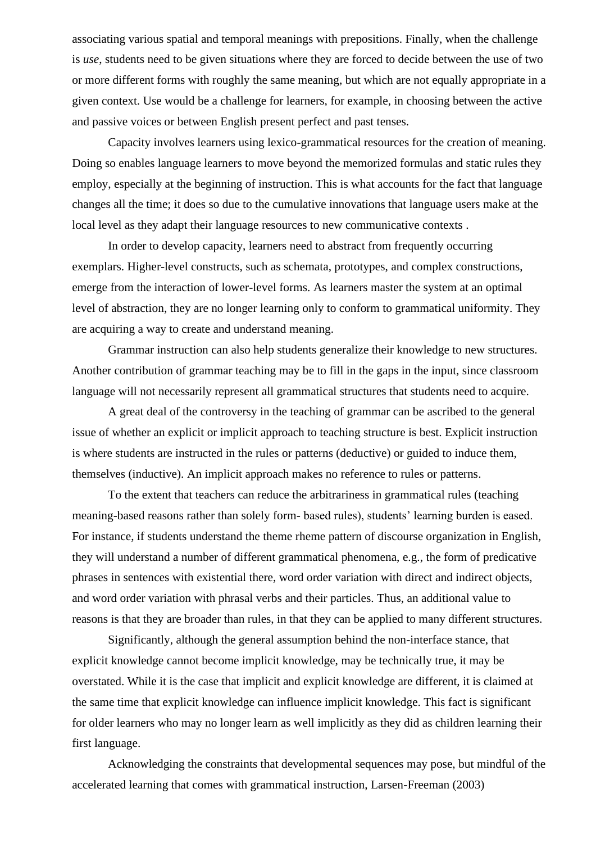associating various spatial and temporal meanings with prepositions. Finally, when the challenge is *use*, students need to be given situations where they are forced to decide between the use of two or more different forms with roughly the same meaning, but which are not equally appropriate in a given context. Use would be a challenge for learners, for example, in choosing between the active and passive voices or between English present perfect and past tenses.

Capacity involves learners using lexico-grammatical resources for the creation of meaning. Doing so enables language learners to move beyond the memorized formulas and static rules they employ, especially at the beginning of instruction. This is what accounts for the fact that language changes all the time; it does so due to the cumulative innovations that language users make at the local level as they adapt their language resources to new communicative contexts .

In order to develop capacity, learners need to abstract from frequently occurring exemplars. Higher-level constructs, such as schemata, prototypes, and complex constructions, emerge from the interaction of lower-level forms. As learners master the system at an optimal level of abstraction, they are no longer learning only to conform to grammatical uniformity. They are acquiring a way to create and understand meaning.

Grammar instruction can also help students generalize their knowledge to new structures. Another contribution of grammar teaching may be to fill in the gaps in the input, since classroom language will not necessarily represent all grammatical structures that students need to acquire.

A great deal of the controversy in the teaching of grammar can be ascribed to the general issue of whether an explicit or implicit approach to teaching structure is best. Explicit instruction is where students are instructed in the rules or patterns (deductive) or guided to induce them, themselves (inductive). An implicit approach makes no reference to rules or patterns.

To the extent that teachers can reduce the arbitrariness in grammatical rules (teaching meaning-based reasons rather than solely form- based rules), students' learning burden is eased. For instance, if students understand the theme rheme pattern of discourse organization in English, they will understand a number of different grammatical phenomena, e.g., the form of predicative phrases in sentences with existential there, word order variation with direct and indirect objects, and word order variation with phrasal verbs and their particles. Thus, an additional value to reasons is that they are broader than rules, in that they can be applied to many different structures.

Significantly, although the general assumption behind the non-interface stance, that explicit knowledge cannot become implicit knowledge, may be technically true, it may be overstated. While it is the case that implicit and explicit knowledge are different, it is claimed at the same time that explicit knowledge can influence implicit knowledge. This fact is significant for older learners who may no longer learn as well implicitly as they did as children learning their first language.

Acknowledging the constraints that developmental sequences may pose, but mindful of the accelerated learning that comes with grammatical instruction, Larsen-Freeman (2003)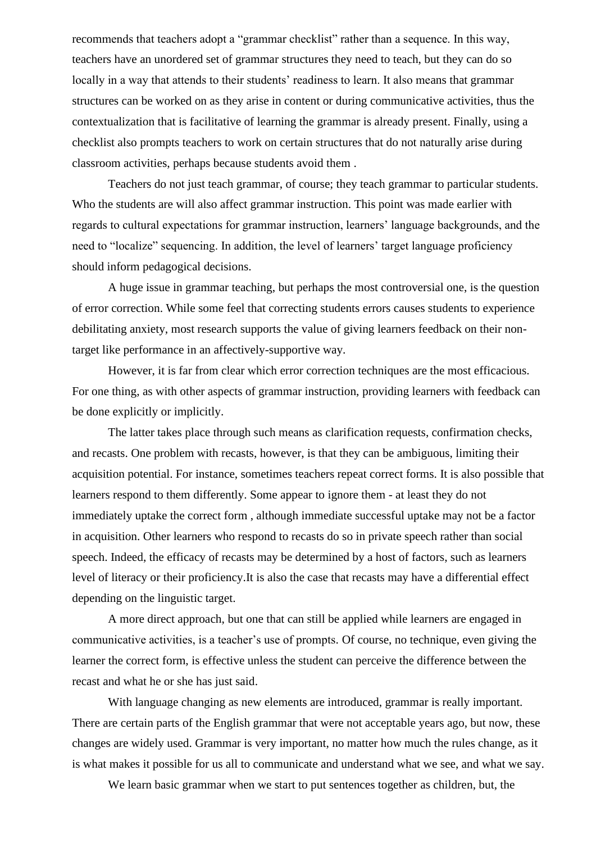recommends that teachers adopt a "grammar checklist" rather than a sequence. In this way, teachers have an unordered set of grammar structures they need to teach, but they can do so locally in a way that attends to their students' readiness to learn. It also means that grammar structures can be worked on as they arise in content or during communicative activities, thus the contextualization that is facilitative of learning the grammar is already present. Finally, using a checklist also prompts teachers to work on certain structures that do not naturally arise during classroom activities, perhaps because students avoid them .

Teachers do not just teach grammar, of course; they teach grammar to particular students. Who the students are will also affect grammar instruction. This point was made earlier with regards to cultural expectations for grammar instruction, learners' language backgrounds, and the need to "localize" sequencing. In addition, the level of learners' target language proficiency should inform pedagogical decisions.

A huge issue in grammar teaching, but perhaps the most controversial one, is the question of error correction. While some feel that correcting students errors causes students to experience debilitating anxiety, most research supports the value of giving learners feedback on their nontarget like performance in an affectively-supportive way.

However, it is far from clear which error correction techniques are the most efficacious. For one thing, as with other aspects of grammar instruction, providing learners with feedback can be done explicitly or implicitly.

The latter takes place through such means as clarification requests, confirmation checks, and recasts. One problem with recasts, however, is that they can be ambiguous, limiting their acquisition potential. For instance, sometimes teachers repeat correct forms. It is also possible that learners respond to them differently. Some appear to ignore them - at least they do not immediately uptake the correct form , although immediate successful uptake may not be a factor in acquisition. Other learners who respond to recasts do so in private speech rather than social speech. Indeed, the efficacy of recasts may be determined by a host of factors, such as learners level of literacy or their proficiency.It is also the case that recasts may have a differential effect depending on the linguistic target.

A more direct approach, but one that can still be applied while learners are engaged in communicative activities, is a teacher's use of prompts. Of course, no technique, even giving the learner the correct form, is effective unless the student can perceive the difference between the recast and what he or she has just said.

With language changing as new elements are introduced, grammar is really important. There are certain parts of the English grammar that were not acceptable years ago, but now, these changes are widely used. Grammar is very important, no matter how much the rules change, as it is what makes it possible for us all to communicate and understand what we see, and what we say.

We learn basic grammar when we start to put sentences together as children, but, the